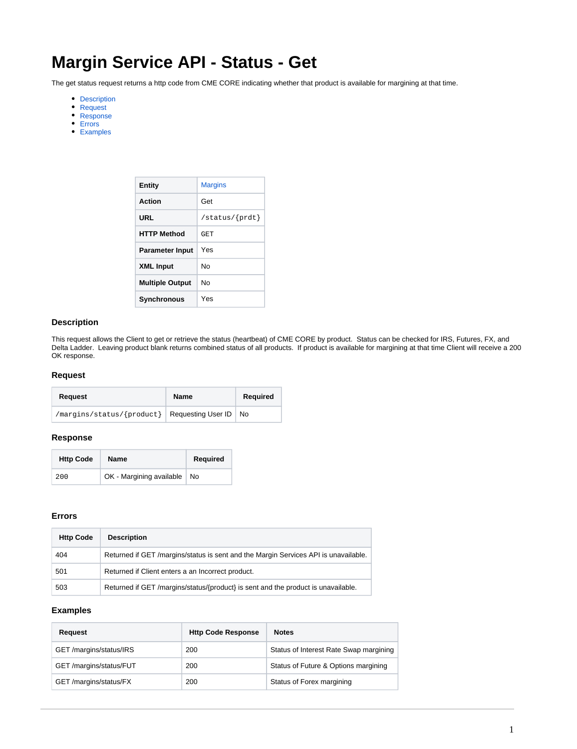# **Margin Service API - Status - Get**

The get status request returns a http code from CME CORE indicating whether that product is available for margining at that time.

- [Description](#page-0-0)
- [Request](#page-0-1)
- [Response](#page-0-2)
- [Errors](#page-0-3)
- [Examples](#page-0-4)

| Entity                 | <b>Margins</b>                         |
|------------------------|----------------------------------------|
| Action                 | Get                                    |
| URL                    | $\sqrt{\text{status}/\{\text{prdt}\}}$ |
| <b>HTTP Method</b>     | GET                                    |
| <b>Parameter Input</b> | Yes                                    |
| <b>XML Input</b>       | N٥                                     |
| <b>Multiple Output</b> | N٥                                     |
| Synchronous            | Yes                                    |

# <span id="page-0-0"></span>**Description**

This request allows the Client to get or retrieve the status (heartbeat) of CME CORE by product. Status can be checked for IRS, Futures, FX, and Delta Ladder. Leaving product blank returns combined status of all products. If product is available for margining at that time Client will receive a 200 OK response.

# <span id="page-0-1"></span>**Request**

| Request                                             | Name | Required |
|-----------------------------------------------------|------|----------|
| /margins/status/{product}   Requesting User ID   No |      |          |

#### <span id="page-0-2"></span>**Response**

| <b>Http Code</b> | <b>Name</b>                   | <b>Required</b> |
|------------------|-------------------------------|-----------------|
| 200              | OK - Margining available   No |                 |

# <span id="page-0-3"></span>**Errors**

| <b>Http Code</b> | <b>Description</b>                                                                  |
|------------------|-------------------------------------------------------------------------------------|
| 404              | Returned if GET /margins/status is sent and the Margin Services API is unavailable. |
| 501              | Returned if Client enters a an Incorrect product.                                   |
| 503              | Returned if GET /margins/status/{product} is sent and the product is unavailable.   |

# <span id="page-0-4"></span>**Examples**

| Request                 | <b>Http Code Response</b> | <b>Notes</b>                           |
|-------------------------|---------------------------|----------------------------------------|
| GET/margins/status/IRS  | 200                       | Status of Interest Rate Swap margining |
| GET /margins/status/FUT | 200                       | Status of Future & Options margining   |
| GET /margins/status/FX  | 200                       | Status of Forex margining              |